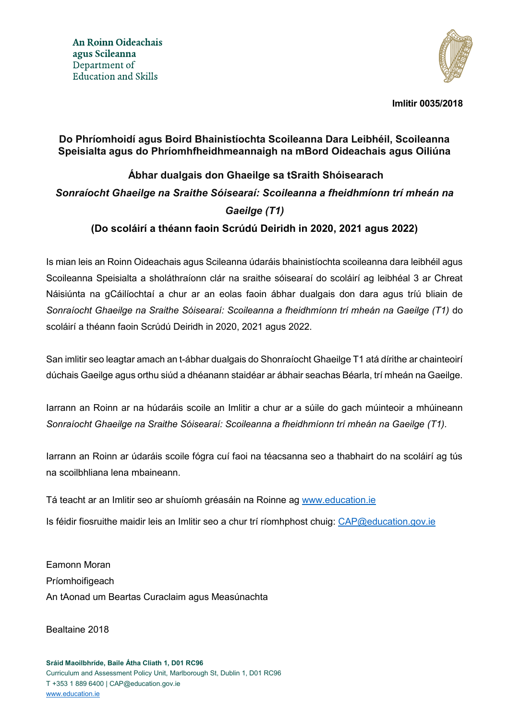

**Imlitir 0035/2018**

#### **Do Phríomhoidí agus Boird Bhainistíochta Scoileanna Dara Leibhéil, Scoileanna Speisialta agus do Phríomhfheidhmeannaigh na mBord Oideachais agus Oiliúna**

# **Ábhar dualgais don Ghaeilge sa tSraith Shóisearach** *Sonraíocht Ghaeilge na Sraithe Sóisearaí: Scoileanna a fheidhmíonn trí mheán na Gaeilge (T1)*

## **(Do scoláirí a théann faoin Scrúdú Deiridh in 2020, 2021 agus 2022)**

Is mian leis an Roinn Oideachais agus Scileanna údaráis bhainistíochta scoileanna dara leibhéil agus Scoileanna Speisialta a sholáthraíonn clár na sraithe sóisearaí do scoláirí ag leibhéal 3 ar Chreat Náisiúnta na gCáilíochtaí a chur ar an eolas faoin ábhar dualgais don dara agus tríú bliain de *Sonraíocht Ghaeilge na Sraithe Sóisearaí: Scoileanna a fheidhmíonn trí mheán na Gaeilge (T1)* do scoláirí a théann faoin Scrúdú Deiridh in 2020, 2021 agus 2022.

San imlitir seo leagtar amach an t-ábhar dualgais do Shonraíocht Ghaeilge T1 atá dírithe ar chainteoirí dúchais Gaeilge agus orthu siúd a dhéanann staidéar ar ábhair seachas Béarla, trí mheán na Gaeilge.

Iarrann an Roinn ar na húdaráis scoile an Imlitir a chur ar a súile do gach múinteoir a mhúineann *Sonraíocht Ghaeilge na Sraithe Sóisearaí: Scoileanna a fheidhmíonn trí mheán na Gaeilge (T1).*

Iarrann an Roinn ar údaráis scoile fógra cuí faoi na téacsanna seo a thabhairt do na scoláirí ag tús na scoilbhliana lena mbaineann.

Tá teacht ar an Imlitir seo ar shuíomh gréasáin na Roinne ag [www.education.ie](http://www.education.ie/)

Is féidir fiosruithe maidir leis an Imlitir seo a chur trí ríomhphost chuig: [CAP@education.gov.ie](mailto:CAP@education.gov.ie) 

Eamonn Moran Príomhoifigeach An tAonad um Beartas Curaclaim agus Measúnachta

Bealtaine 2018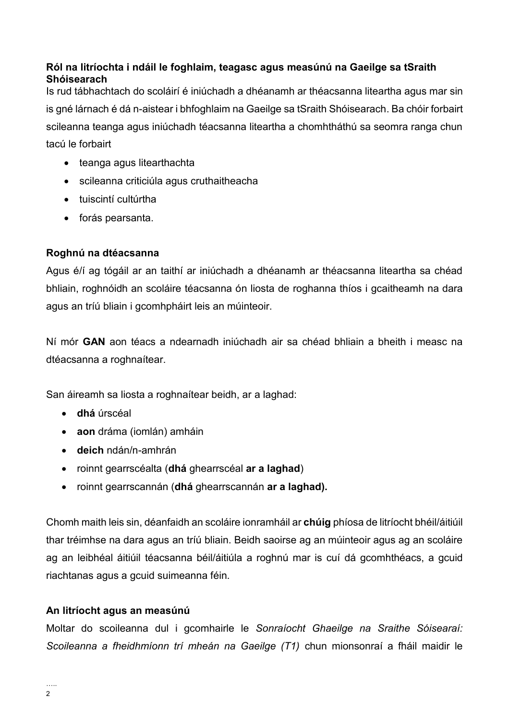#### **Ról na litríochta i ndáil le foghlaim, teagasc agus measúnú na Gaeilge sa tSraith Shóisearach**

Is rud tábhachtach do scoláirí é iniúchadh a dhéanamh ar théacsanna liteartha agus mar sin is gné lárnach é dá n-aistear i bhfoghlaim na Gaeilge sa tSraith Shóisearach. Ba chóir forbairt scileanna teanga agus iniúchadh téacsanna liteartha a chomhtháthú sa seomra ranga chun tacú le forbairt

- teanga agus litearthachta
- scileanna criticiúla agus cruthaitheacha
- tuiscintí cultúrtha
- forás pearsanta.

#### **Roghnú na dtéacsanna**

Agus é/í ag tógáil ar an taithí ar iniúchadh a dhéanamh ar théacsanna liteartha sa chéad bhliain, roghnóidh an scoláire téacsanna ón liosta de roghanna thíos i gcaitheamh na dara agus an tríú bliain i gcomhpháirt leis an múinteoir.

Ní mór **GAN** aon téacs a ndearnadh iniúchadh air sa chéad bhliain a bheith i measc na dtéacsanna a roghnaítear.

San áireamh sa liosta a roghnaítear beidh, ar a laghad:

- **dhá** úrscéal
- **aon** dráma (iomlán) amháin
- **deich** ndán/n-amhrán
- roinnt gearrscéalta (**dhá** ghearrscéal **ar a laghad**)
- roinnt gearrscannán (**dhá** ghearrscannán **ar a laghad).**

Chomh maith leis sin, déanfaidh an scoláire ionramháil ar **chúig** phíosa de litríocht bhéil/áitiúil thar tréimhse na dara agus an tríú bliain. Beidh saoirse ag an múinteoir agus ag an scoláire ag an leibhéal áitiúil téacsanna béil/áitiúla a roghnú mar is cuí dá gcomhthéacs, a gcuid riachtanas agus a gcuid suimeanna féin.

#### **An litríocht agus an measúnú**

Moltar do scoileanna dul i gcomhairle le *Sonraíocht Ghaeilge na Sraithe Sóisearaí: Scoileanna a fheidhmíonn trí mheán na Gaeilge (T1)* chun mionsonraí a fháil maidir le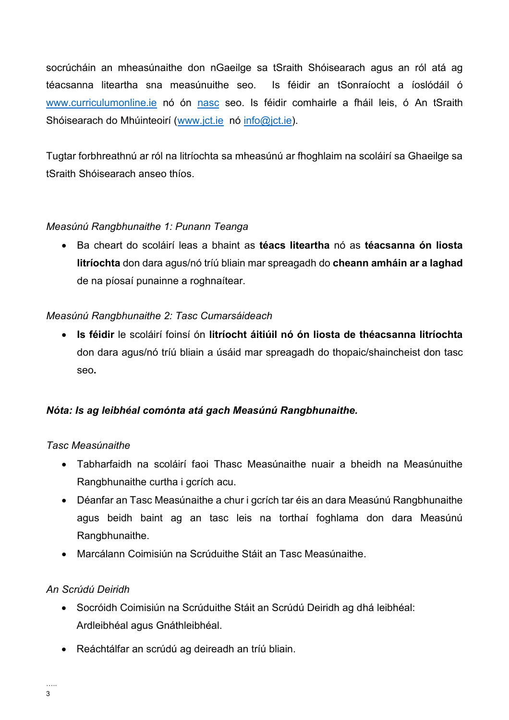socrúcháin an mheasúnaithe don nGaeilge sa tSraith Shóisearach agus an ról atá ag téacsanna liteartha sna measúnuithe seo. Is féidir an tSonraíocht a íoslódáil ó [www.curriculumonline.ie](http://www.curriculumonline.ie/) nó ón [nasc](https://curriculumonline.ie/getmedia/394a74f1-ba27-4572-9f1b-93696859fc03/JC-GAE-T1_sonraiocht-deiridh.pdf) seo. Is féidir comhairle a fháil leis, ó An tSraith Shóisearach do Mhúinteoirí [\(www.jct.ie](http://www.jct.ie/) nó [info@jct.ie\)](mailto:info@jct.ie).

Tugtar forbhreathnú ar ról na litríochta sa mheasúnú ar fhoghlaim na scoláirí sa Ghaeilge sa tSraith Shóisearach anseo thíos.

#### *Measúnú Rangbhunaithe 1: Punann Teanga*

 Ba cheart do scoláirí leas a bhaint as **téacs liteartha** nó as **téacsanna ón liosta litríochta** don dara agus/nó tríú bliain mar spreagadh do **cheann amháin ar a laghad**  de na píosaí punainne a roghnaítear.

#### *Measúnú Rangbhunaithe 2: Tasc Cumarsáideach*

 **Is féidir** le scoláirí foinsí ón **litríocht áitiúil nó ón liosta de théacsanna litríochta** don dara agus/nó tríú bliain a úsáid mar spreagadh do thopaic/shaincheist don tasc seo**.** 

#### *Nóta: Is ag leibhéal comónta atá gach Measúnú Rangbhunaithe.*

#### *Tasc Measúnaithe*

- Tabharfaidh na scoláirí faoi Thasc Measúnaithe nuair a bheidh na Measúnuithe Rangbhunaithe curtha i gcrích acu.
- Déanfar an Tasc Measúnaithe a chur i gcrích tar éis an dara Measúnú Rangbhunaithe agus beidh baint ag an tasc leis na torthaí foghlama don dara Measúnú Rangbhunaithe.
- Marcálann Coimisiún na Scrúduithe Stáit an Tasc Measúnaithe.

#### *An Scrúdú Deiridh*

- Socróidh Coimisiún na Scrúduithe Stáit an Scrúdú Deiridh ag dhá leibhéal: Ardleibhéal agus Gnáthleibhéal.
- Reáchtálfar an scrúdú ag deireadh an tríú bliain.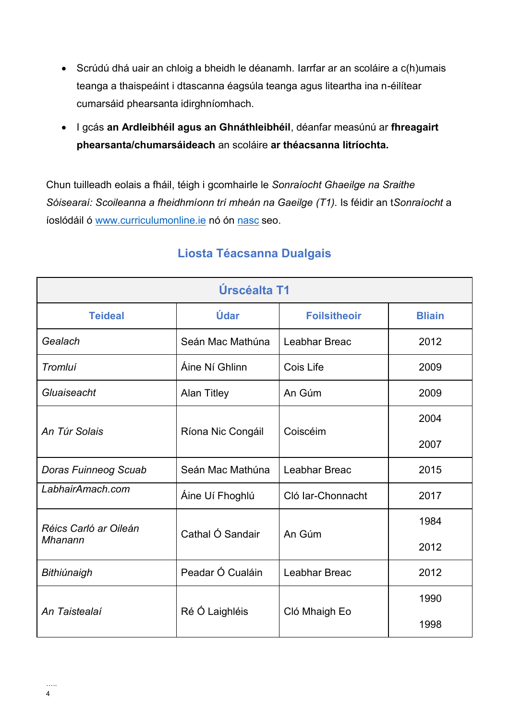- Scrúdú dhá uair an chloig a bheidh le déanamh. Iarrfar ar an scoláire a c(h)umais teanga a thaispeáint i dtascanna éagsúla teanga agus liteartha ina n-éilítear cumarsáid phearsanta idirghníomhach.
- I gcás **an Ardleibhéil agus an Ghnáthleibhéil**, déanfar measúnú ar **fhreagairt phearsanta/chumarsáideach** an scoláire **ar théacsanna litríochta.**

Chun tuilleadh eolais a fháil, téigh i gcomhairle le *Sonraíocht Ghaeilge na Sraithe Sóisearaí: Scoileanna a fheidhmíonn trí mheán na Gaeilge (T1).* Is féidir an t*Sonraíocht* a íoslódáil ó [www.curriculumonline.ie](http://www.curriculumonline.ie/) nó ón [nasc](https://curriculumonline.ie/getmedia/394a74f1-ba27-4572-9f1b-93696859fc03/JC-GAE-T1_sonraiocht-deiridh.pdf) seo.

| Úrscéalta T1                |                    |                     |               |  |  |
|-----------------------------|--------------------|---------------------|---------------|--|--|
| <b>Teideal</b>              | Údar               | <b>Foilsitheoir</b> | <b>Bliain</b> |  |  |
| Gealach                     | Seán Mac Mathúna   | Leabhar Breac       | 2012          |  |  |
| <b>Tromluí</b>              | Áine Ní Ghlinn     | Cois Life           | 2009          |  |  |
| Gluaiseacht                 | <b>Alan Titley</b> | An Gúm              | 2009          |  |  |
|                             |                    | Coiscéim            | 2004          |  |  |
| An Túr Solais               | Ríona Nic Congáil  |                     | 2007          |  |  |
| <b>Doras Fuinneog Scuab</b> | Seán Mac Mathúna   | Leabhar Breac       | 2015          |  |  |
| LabhairAmach.com            | Áine Uí Fhoghlú    | Cló Iar-Chonnacht   | 2017          |  |  |
| Réics Carló ar Oileán       | Cathal Ó Sandair   | An Gúm              | 1984          |  |  |
| Mhanann                     |                    |                     | 2012          |  |  |
| Bithiúnaigh                 | Peadar Ó Cualáin   | Leabhar Breac       | 2012          |  |  |
| An Taistealaí               |                    |                     | 1990          |  |  |
|                             | Ré Ó Laighléis     | Cló Mhaigh Eo       | 1998          |  |  |

### **Liosta Téacsanna Dualgais**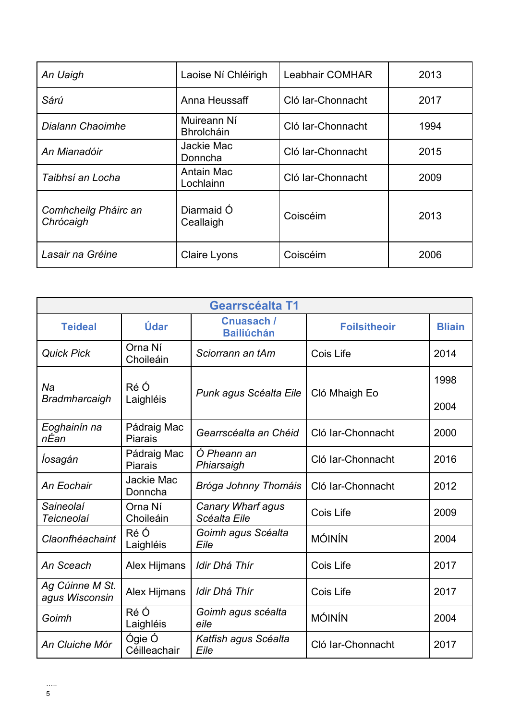| An Uaigh                          | Laoise Ní Chléirigh              | <b>Leabhair COMHAR</b> |      |
|-----------------------------------|----------------------------------|------------------------|------|
| Sárú                              | Anna Heussaff                    | Cló Iar-Chonnacht      | 2017 |
| Dialann Chaoimhe                  | Muireann Ní<br><b>Bhrolcháin</b> | Cló Iar-Chonnacht      | 1994 |
| An Mianadóir                      | Jackie Mac<br>Donncha            | Cló Iar-Chonnacht      | 2015 |
| Taibhsí an Locha                  | Antain Mac<br>Lochlainn          | Cló Iar-Chonnacht      | 2009 |
| Comhcheilg Pháirc an<br>Chrócaigh | Diarmaid Ó<br>Ceallaigh          | Coiscéim               | 2013 |
| Lasair na Gréine                  | Claire Lyons                     | Coiscéim               | 2006 |

| <b>Gearrscéalta T1</b>            |                               |                                        |                     |               |  |
|-----------------------------------|-------------------------------|----------------------------------------|---------------------|---------------|--|
| <b>Teideal</b>                    | Údar                          | <b>Cnuasach /</b><br><b>Bailiúchán</b> | <b>Foilsitheoir</b> | <b>Bliain</b> |  |
| <b>Quick Pick</b>                 | Orna Ní<br>Choileáin          | Sciorrann an tAm                       | Cois Life           | 2014          |  |
| Na                                | Ré Ó                          | Punk agus Scéalta Eile                 | Cló Mhaigh Eo       | 1998          |  |
| <b>Bradmharcaigh</b>              | Laighléis                     |                                        |                     | 2004          |  |
| Eoghainín na<br>nÉan              | Pádraig Mac<br>Piarais        | Gearrscéalta an Chéid                  | Cló Iar-Chonnacht   | 2000          |  |
| Íosagán                           | Pádraig Mac<br><b>Piarais</b> | Ó Pheann an<br>Phiarsaigh              | Cló Iar-Chonnacht   | 2016          |  |
| An Eochair                        | Jackie Mac<br>Donncha         | Bróga Johnny Thomáis                   | Cló Iar-Chonnacht   | 2012          |  |
| Saineolaí<br>Teicneolaí           | Orna Ní<br>Choileáin          | Canary Wharf agus<br>Scéalta Eile      | Cois Life           | 2009          |  |
| Claonfhéachaint                   | Ré Ó<br>Laighléis             | Goimh agus Scéalta<br>Eile             | <b>MÓINÍN</b>       | 2004          |  |
| An Sceach                         | Alex Hijmans                  | Idir Dhá Thír                          | Cois Life           | 2017          |  |
| Ag Cúinne M St.<br>agus Wisconsin | Alex Hijmans                  | Idir Dhá Thír                          | Cois Life           | 2017          |  |
| Goimh                             | Ré Ó<br>Laighléis             | Goimh agus scéalta<br>eile             | <b>MÓINÍN</b>       | 2004          |  |
| An Cluiche Mór                    | Ógie Ó<br>Céilleachair        | Katfish agus Scéalta<br>Eile           | Cló Iar-Chonnacht   | 2017          |  |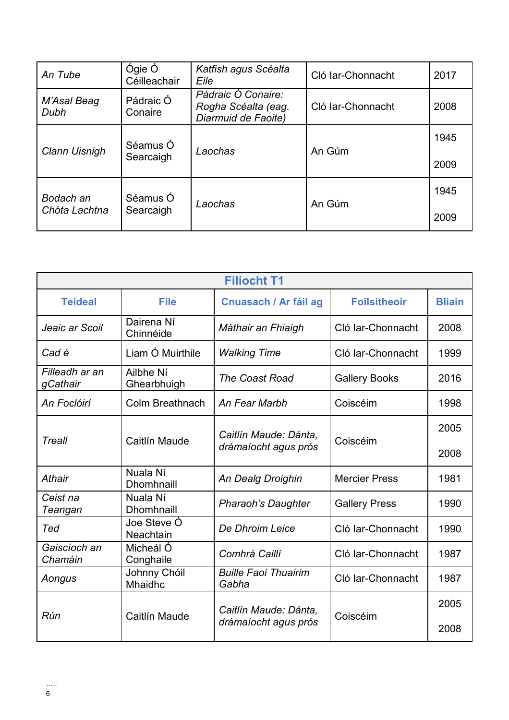| An Tube             | Ógie Ó<br>Céilleachair | Katfish agus Scéalta<br>Eile                                     | Cló Iar-Chonnacht | 2017         |
|---------------------|------------------------|------------------------------------------------------------------|-------------------|--------------|
| M'Asal Beag<br>Dubh | Pádraic Ó<br>Conaire   | Pádraic Ó Conaire:<br>Rogha Scéalta (eag.<br>Diarmuid de Faoite) | Cló Iar-Chonnacht | 2008         |
| Clann Uisnigh       | Séamus Ó<br>Searcaigh  | Laochas                                                          | An Gúm            | 1945<br>2009 |
| Bodach an           | Séamus Ó               |                                                                  |                   | 1945         |
| Chóta Lachtna       | Searcaigh              | Laochas                                                          | An Gúm            | 2009         |

| <b>Filíocht T1</b>         |                                 |                                               |                      |               |  |
|----------------------------|---------------------------------|-----------------------------------------------|----------------------|---------------|--|
| <b>Teideal</b>             | <b>File</b>                     | Cnuasach / Ar fáil ag                         | <b>Foilsitheoir</b>  | <b>Bliain</b> |  |
| Jeaic ar Scoil             | Dairena Ní<br>Chinnéide         | Máthair an Fhiaigh                            | Cló Iar-Chonnacht    | 2008          |  |
| Cad é                      | Liam Ó Muirthile                | <b>Walking Time</b>                           | Cló Iar-Chonnacht    | 1999          |  |
| Filleadh ar an<br>gCathair | Ailbhe Ní<br>Ghearbhuigh        | <b>The Coast Road</b>                         | <b>Gallery Books</b> | 2016          |  |
| An Foclóirí                | Colm Breathnach                 | An Fear Marbh                                 | Coiscéim             | 1998          |  |
|                            | Caitlín Maude                   | Caitlín Maude: Dánta,<br>drámaíocht agus prós | Coiscéim             | 2005          |  |
| Treall                     |                                 |                                               |                      | 2008          |  |
| Athair                     | Nuala Ní<br><b>Dhomhnaill</b>   | An Dealg Droighin                             | <b>Mercier Press</b> | 1981          |  |
| Ceist na<br>Teangan        | Nuala Ní<br><b>Dhomhnaill</b>   | <b>Pharaoh's Daughter</b>                     | <b>Gallery Press</b> | 1990          |  |
| Ted                        | Joe Steve Ó<br><b>Neachtain</b> | De Dhroim Leice                               | Cló Iar-Chonnacht    | 1990          |  |
| Gaiscíoch an<br>Chamáin    | Micheál Ó<br>Conghaile          | Comhrá Caillí                                 | Cló Iar-Chonnacht    | 1987          |  |
| Aongus                     | Johnny Chóil<br>Mhaidhc         | <b>Buille Faoi Thuairim</b><br>Gabha          | Cló Iar-Chonnacht    | 1987          |  |
|                            |                                 | Caitlín Maude: Dánta,                         |                      | 2005          |  |
| Rún                        | Caitlín Maude                   | drámaíocht agus prós                          | Coiscéim             | 2008          |  |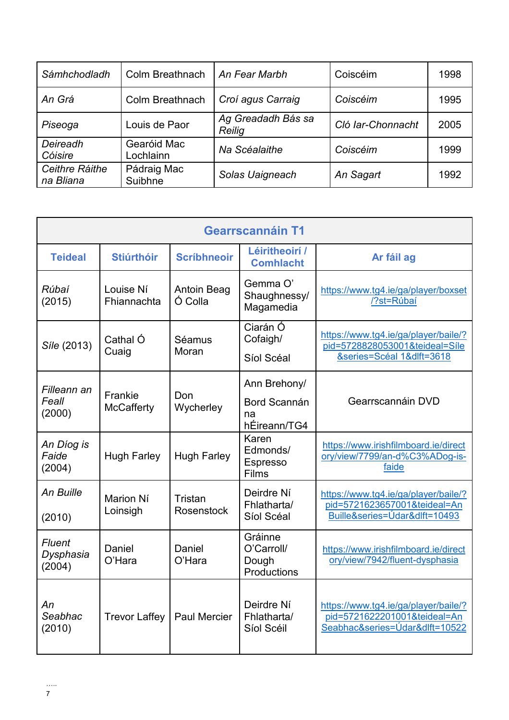| Sámhchodladh                | Colm Breathnach          | An Fear Marbh                | Coiscéim          | 1998 |
|-----------------------------|--------------------------|------------------------------|-------------------|------|
| An Grá                      | Colm Breathnach          | Croí agus Carraig            | Coiscéim          | 1995 |
| Piseoga                     | Louis de Paor            | Ag Greadadh Bás sa<br>Reilig | Cló Iar-Chonnacht | 2005 |
| Deireadh<br>Cóisire         | Gearóid Mac<br>Lochlainn | Na Scéalaithe                | Coiscéim          | 1999 |
| Ceithre Ráithe<br>na Bliana | Pádraig Mac<br>Suibhne   | Solas Uaigneach              | An Sagart         | 1992 |

| <b>Gearrscannáin T1</b>        |                              |                               |                                                    |                                                                                                        |
|--------------------------------|------------------------------|-------------------------------|----------------------------------------------------|--------------------------------------------------------------------------------------------------------|
| <b>Teideal</b>                 | <b>Stiúrthóir</b>            | <b>Scríbhneoir</b>            | Léiritheoirí /<br><b>Comhlacht</b>                 | Ar fáil ag                                                                                             |
| Rúbaí<br>(2015)                | Louise Ní<br>Fhiannachta     | <b>Antoin Beag</b><br>Ó Colla | Gemma O'<br>Shaughnessy/<br>Magamedia              | https://www.tg4.ie/ga/player/boxset<br>/?st=Rúbaí                                                      |
| Síle (2013)                    | Cathal Ó<br>Cuaig            | Séamus<br>Moran               | Ciarán Ó<br>Cofaigh/<br>Síol Scéal                 | https://www.tg4.ie/ga/player/baile/?<br>pid=5728828053001&teideal=Síle<br>&series=Scéal 1&dlft=3618    |
| Filleann an<br>Feall<br>(2000) | Frankie<br><b>McCafferty</b> | Don<br>Wycherley              | Ann Brehony/<br>Bord Scannán<br>na<br>hÉireann/TG4 | Gearrscannáin DVD                                                                                      |
| An Díog is<br>Faide<br>(2004)  | <b>Hugh Farley</b>           | <b>Hugh Farley</b>            | Karen<br>Edmonds/<br>Espresso<br>Films             | https://www.irishfilmboard.ie/direct<br>ory/view/7799/an-d%C3%ADog-is-<br>faide                        |
| An Buille<br>(2010)            | Marion Ní<br>Loinsigh        | Tristan<br>Rosenstock         | Deirdre Ní<br>Fhlatharta/<br>Síol Scéal            | https://www.tg4.ie/ga/player/baile/?<br>pid=5721623657001&teideal=An<br>Buille&series=Údar&dlft=10493  |
| Fluent<br>Dysphasia<br>(2004)  | Daniel<br>O'Hara             | Daniel<br>O'Hara              | Gráinne<br>O'Carroll/<br>Dough<br>Productions      | https://www.irishfilmboard.ie/direct<br>ory/view/7942/fluent-dysphasia                                 |
| Аn<br>Seabhac<br>(2010)        | <b>Trevor Laffey</b>         | <b>Paul Mercier</b>           | Deirdre Ní<br>Fhlatharta/<br>Síol Scéil            | https://www.tg4.ie/ga/player/baile/?<br>pid=5721622201001&teideal=An<br>Seabhac&series=Údar&dlft=10522 |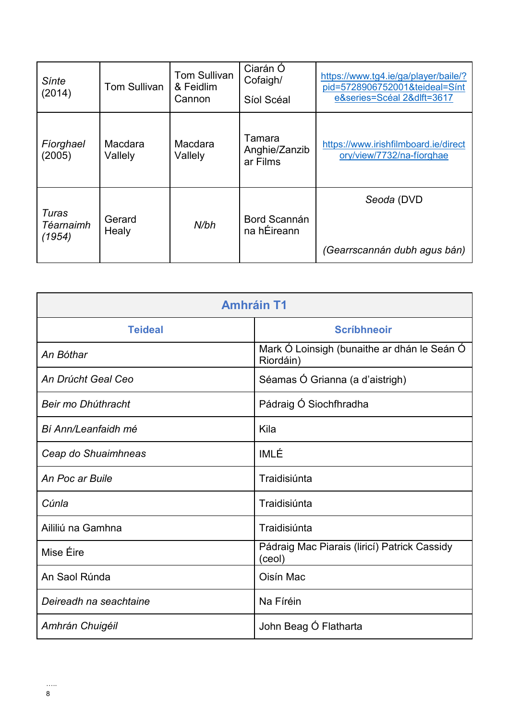| Sínte<br>(2014)              | Tom Sullivan       | <b>Tom Sullivan</b><br>& Feidlim<br>Cannon | Ciarán Ó<br>Cofaigh/<br>Síol Scéal  | https://www.tg4.ie/ga/player/baile/?<br>pid=5728906752001&teideal=Sínt<br>e&series=Scéal 2&dlft=3617 |
|------------------------------|--------------------|--------------------------------------------|-------------------------------------|------------------------------------------------------------------------------------------------------|
| Fiorghael<br>(2005)          | Macdara<br>Vallely | Macdara<br>Vallely                         | Tamara<br>Anghie/Zanzib<br>ar Films | https://www.irishfilmboard.ie/direct<br>ory/view/7732/na-fíorghae                                    |
| Turas<br>Téarnaimh<br>(1954) | Gerard<br>Healy    | N/bh                                       | Bord Scannán<br>na hÉireann         | Seoda (DVD<br>(Gearrscannán dubh agus bán)                                                           |

| <b>Amhráin T1</b>      |                                                          |  |  |
|------------------------|----------------------------------------------------------|--|--|
| <b>Teideal</b>         | <b>Scríbhneoir</b>                                       |  |  |
| An Bóthar              | Mark Ó Loinsigh (bunaithe ar dhán le Seán O<br>Riordáin) |  |  |
| An Drúcht Geal Ceo     | Séamas Ó Grianna (a d'aistrigh)                          |  |  |
| Beir mo Dhúthracht     | Pádraig Ó Siochfhradha                                   |  |  |
| Bí Ann/Leanfaidh mé    | Kila                                                     |  |  |
| Ceap do Shuaimhneas    | IMLÉ                                                     |  |  |
| An Poc ar Buile        | Traidisiúnta                                             |  |  |
| Cúnla                  | Traidisiúnta                                             |  |  |
| Aililiú na Gamhna      | Traidisiúnta                                             |  |  |
| Mise Éire              | Pádraig Mac Piarais (liricí) Patrick Cassidy<br>(ceol)   |  |  |
| An Saol Rúnda          | Oisín Mac                                                |  |  |
| Deireadh na seachtaine | Na Fíréin                                                |  |  |
| Amhrán Chuigéil        | John Beag Ó Flatharta                                    |  |  |